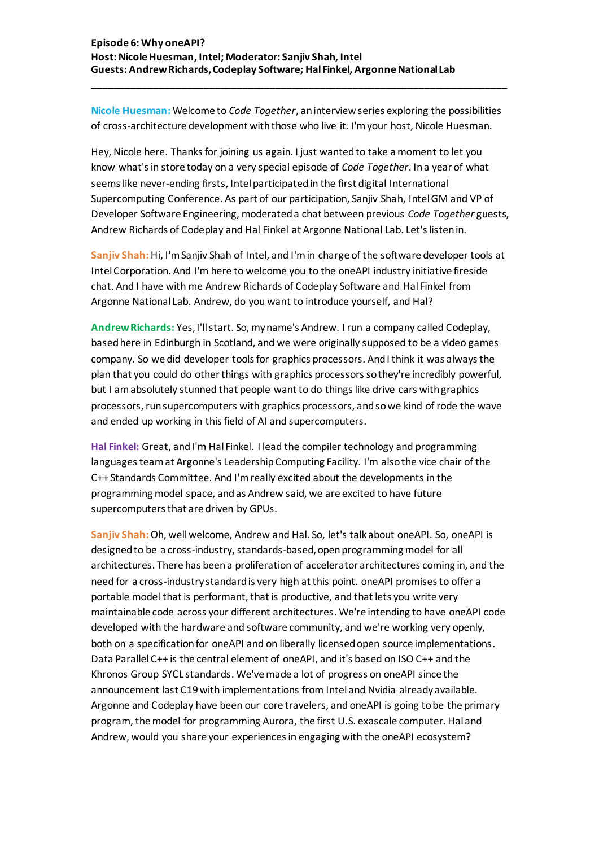## **Episode 6: Why oneAPI? Host:Nicole Huesman, Intel; Moderator: Sanjiv Shah, Intel Guests: Andrew Richards, Codeplay Software; Hal Finkel, Argonne National Lab**

**Nicole Huesman:** Welcome to *Code Together*, an interview series exploring the possibilities of cross-architecture development with those who live it. I'm your host, Nicole Huesman.

**\_\_\_\_\_\_\_\_\_\_\_\_\_\_\_\_\_\_\_\_\_\_\_\_\_\_\_\_\_\_\_\_\_\_\_\_\_\_\_\_\_\_\_\_\_\_\_\_\_\_\_\_\_\_\_\_\_\_\_\_\_\_\_\_\_\_\_\_\_\_\_\_\_\_\_**

Hey, Nicole here. Thanks for joining us again. I just wanted to take a moment to let you know what's in store today on a very special episode of *Code Together*. In a year of what seems like never-ending firsts, Intel participated in the first digital International Supercomputing Conference. As part of our participation, Sanjiv Shah, Intel GM and VP of Developer Software Engineering, moderated a chat between previous *Code Together* guests, Andrew Richards of Codeplay and Hal Finkel at Argonne National Lab. Let's listen in.

**Sanjiv Shah:** Hi, I'm Sanjiv Shah of Intel, and I'm in charge of the software developer tools at Intel Corporation. And I'm here to welcome you to the oneAPI industry initiative fireside chat. And I have with me Andrew Richards of Codeplay Software and Hal Finkel from Argonne National Lab. Andrew, do you want to introduce yourself, and Hal?

**Andrew Richards:** Yes, I'll start. So, my name's Andrew. I run a company called Codeplay, based here in Edinburgh in Scotland, and we were originally supposed to be a video games company. So we did developer tools for graphics processors. And I think it was always the plan that you could do other things with graphics processors so they're incredibly powerful, but I am absolutely stunned that people want to do things like drive cars with graphics processors, run supercomputers with graphics processors, and so we kind of rode the wave and ended up working in this field of AI and supercomputers.

**Hal Finkel:** Great, and I'm Hal Finkel. I lead the compiler technology and programming languages team at Argonne's Leadership Computing Facility. I'm also the vice chair of the C++ Standards Committee. And I'm really excited about the developments in the programming model space, and as Andrew said, we are excited to have future supercomputers that are driven by GPUs.

**Sanjiv Shah:** Oh, well welcome, Andrew and Hal. So, let's talk about oneAPI. So, oneAPI is designed to be a cross-industry, standards-based, open programming model for all architectures. There has been a proliferation of accelerator architectures coming in, and the need for a cross-industry standard is very high at this point. oneAPI promises to offer a portable model that is performant, that is productive, and that lets you write very maintainable code across your different architectures. We're intending to have oneAPI code developed with the hardware and software community, and we're working very openly, both on a specification for oneAPI and on liberally licensed open source implementations. Data Parallel C++ is the central element of oneAPI, and it's based on ISO C++ and the Khronos Group SYCL standards. We've made a lot of progress on oneAPI since the announcement last C19 with implementations from Intel and Nvidia already available. Argonne and Codeplay have been our core travelers, and oneAPI is going to be the primary program, the model for programming Aurora, the first U.S. exascale computer. Hal and Andrew, would you share your experiences in engaging with the oneAPI ecosystem?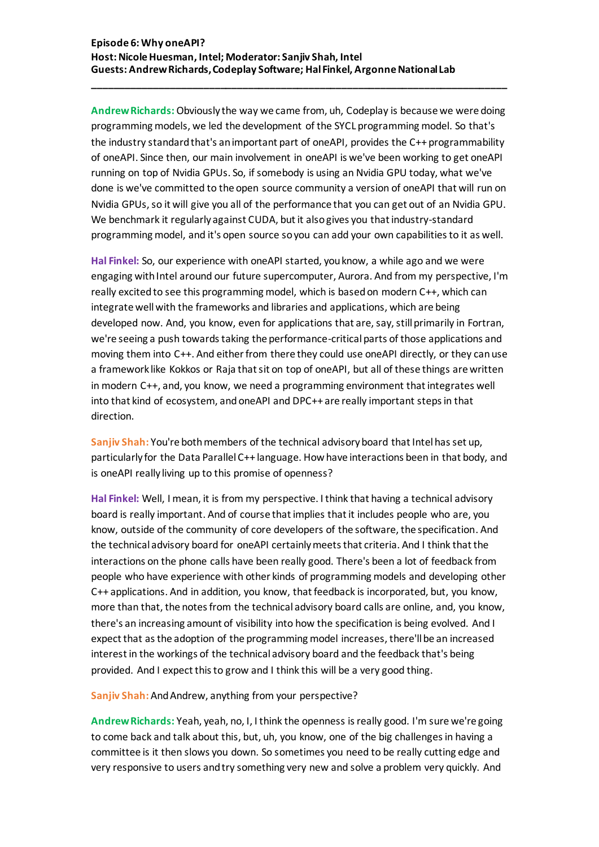**Andrew Richards:** Obviously the way we came from, uh, Codeplay is because we were doing programming models, we led the development of the SYCL programming model. So that's the industry standard that's an important part of oneAPI, provides the C++ programmability of oneAPI. Since then, our main involvement in oneAPI is we've been working to get oneAPI running on top of Nvidia GPUs. So, if somebody is using an Nvidia GPU today, what we've done is we've committed to the open source community a version of oneAPI that will run on Nvidia GPUs, so it will give you all of the performance that you can get out of an Nvidia GPU. We benchmark it regularly against CUDA, but it also gives you that industry-standard programming model, and it's open source so you can add your own capabilities to it as well.

**\_\_\_\_\_\_\_\_\_\_\_\_\_\_\_\_\_\_\_\_\_\_\_\_\_\_\_\_\_\_\_\_\_\_\_\_\_\_\_\_\_\_\_\_\_\_\_\_\_\_\_\_\_\_\_\_\_\_\_\_\_\_\_\_\_\_\_\_\_\_\_\_\_\_\_**

**Hal Finkel:** So, our experience with oneAPI started, you know, a while ago and we were engaging with Intel around our future supercomputer, Aurora. And from my perspective, I'm really excited to see this programming model, which is based on modern C++, which can integrate well with the frameworks and libraries and applications, which are being developed now. And, you know, even for applications that are, say, still primarily in Fortran, we're seeing a push towards taking the performance-critical parts of those applications and moving them into C++. And either from there they could use oneAPI directly, or they can use a framework like Kokkos or Raja that sit on top of oneAPI, but all of these things are written in modern C++, and, you know, we need a programming environment that integrates well into that kind of ecosystem, and oneAPI and DPC++ are really important steps in that direction.

**Sanjiv Shah:** You're both members of the technical advisory board that Intel has set up, particularly for the Data Parallel C++ language. How have interactions been in that body, and is oneAPI really living up to this promise of openness?

**Hal Finkel:** Well, I mean, it is from my perspective. I think that having a technical advisory board is really important. And of course that implies that it includes people who are, you know, outside of the community of core developers of the software, the specification. And the technical advisory board for oneAPI certainly meets that criteria. And I think that the interactions on the phone calls have been really good. There's been a lot of feedback from people who have experience with other kinds of programming models and developing other C++ applications. And in addition, you know, that feedback is incorporated, but, you know, more than that, the notes from the technical advisory board calls are online, and, you know, there's an increasing amount of visibility into how the specification is being evolved. And I expect that as the adoption of the programming model increases, there'll be an increased interest in the workings of the technical advisory board and the feedback that's being provided. And I expect this to grow and I think this will be a very good thing.

Sanjiv Shah: And Andrew, anything from your perspective?

**Andrew Richards:** Yeah, yeah, no, I, I think the openness is really good. I'm sure we're going to come back and talk about this, but, uh, you know, one of the big challenges in having a committee is it then slows you down. So sometimes you need to be really cutting edge and very responsive to users and try something very new and solve a problem very quickly. And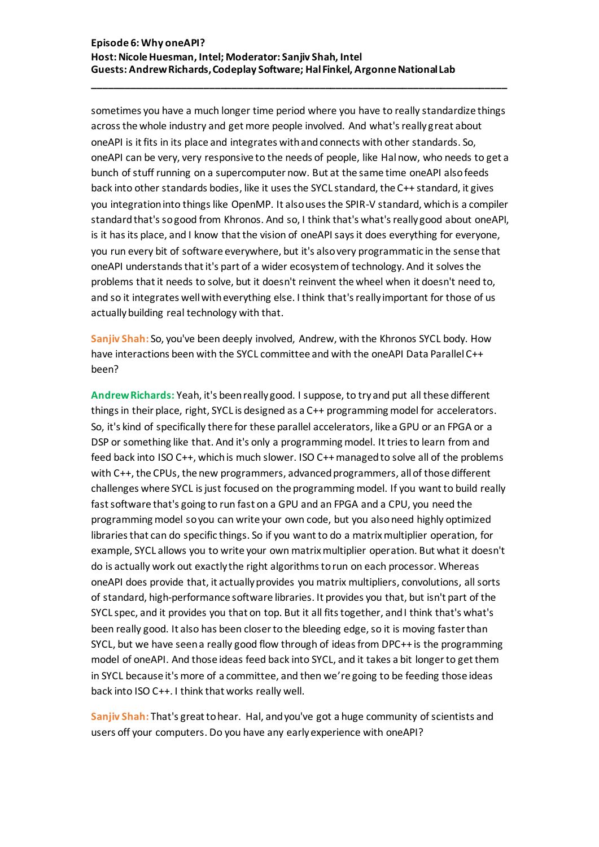sometimes you have a much longer time period where you have to really standardize things across the whole industry and get more people involved. And what's really great about oneAPI is it fits in its place and integrates with and connects with other standards. So, oneAPI can be very, very responsive to the needs of people, like Hal now, who needs to get a bunch of stuff running on a supercomputer now. But at the same time oneAPI also feeds back into other standards bodies, like it uses the SYCL standard, the C++ standard, it gives you integration into things like OpenMP. It also uses the SPIR-V standard, which is a compiler standard that's sogood from Khronos. And so, I think that's what's really good about oneAPI, is it has its place, and I know that the vision of oneAPIsays it does everything for everyone, you run every bit of software everywhere, but it's also very programmatic in the sense that oneAPI understands that it's part of a wider ecosystem of technology. And it solves the problems that it needs to solve, but it doesn't reinvent the wheel when it doesn't need to, and so it integrates well with everything else. I think that's really important for those of us actually building real technology with that.

**\_\_\_\_\_\_\_\_\_\_\_\_\_\_\_\_\_\_\_\_\_\_\_\_\_\_\_\_\_\_\_\_\_\_\_\_\_\_\_\_\_\_\_\_\_\_\_\_\_\_\_\_\_\_\_\_\_\_\_\_\_\_\_\_\_\_\_\_\_\_\_\_\_\_\_**

**Sanjiv Shah:** So, you've been deeply involved, Andrew, with the Khronos SYCL body. How have interactions been with the SYCL committee and with the oneAPI Data Parallel C++ been?

**Andrew Richards:** Yeah, it's been really good. I suppose, to try and put all these different things in their place, right, SYCL is designed as a C++ programming model for accelerators. So, it's kind of specifically there for these parallel accelerators, like a GPU or an FPGA or a DSP or something like that. And it's only a programming model. It tries to learn from and feed back into ISO C++, which is much slower. ISO C++ managed to solve all of the problems with C++, the CPUs, the new programmers, advanced programmers, all of those different challenges where SYCL is just focused on the programming model. If you want to build really fast software that's going to run fast on a GPU and an FPGA and a CPU, you need the programming model so you can write your own code, but you also need highly optimized libraries that can do specific things. So if you want to do a matrix multiplier operation, for example, SYCL allows you to write your own matrix multiplier operation. But what it doesn't do is actually work out exactly the right algorithms to run on each processor. Whereas oneAPI does provide that, it actually provides you matrix multipliers, convolutions, all sorts of standard, high-performance software libraries. It provides you that, but isn't part of the SYCL spec, and it provides you that on top. But it all fits together, and I think that's what's been really good. It also has been closer to the bleeding edge, so it is moving faster than SYCL, but we have seen a really good flow through of ideas from DPC++ is the programming model of oneAPI. And those ideas feed back into SYCL, and it takes a bit longer to get them in SYCL because it's more of a committee, and then we're going to be feeding those ideas back into ISO C++. I think that works really well.

**Sanjiv Shah:** That's great to hear. Hal, and you've got a huge community of scientists and users off your computers. Do you have any early experience with oneAPI?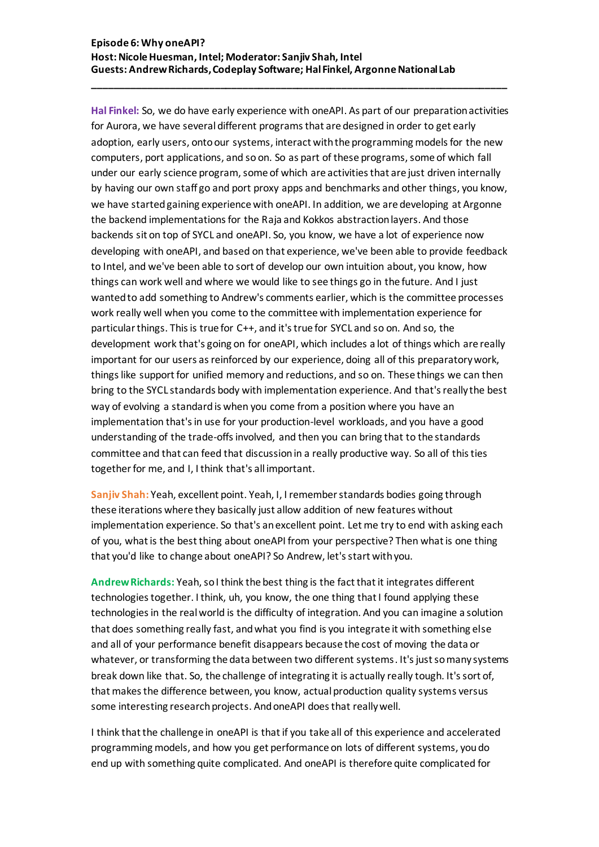## **Episode 6: Why oneAPI? Host:Nicole Huesman, Intel; Moderator: Sanjiv Shah, Intel Guests: Andrew Richards, Codeplay Software; Hal Finkel, Argonne National Lab**

**\_\_\_\_\_\_\_\_\_\_\_\_\_\_\_\_\_\_\_\_\_\_\_\_\_\_\_\_\_\_\_\_\_\_\_\_\_\_\_\_\_\_\_\_\_\_\_\_\_\_\_\_\_\_\_\_\_\_\_\_\_\_\_\_\_\_\_\_\_\_\_\_\_\_\_**

**Hal Finkel:** So, we do have early experience with oneAPI. As part of our preparation activities for Aurora, we have several different programs that are designed in order to get early adoption, early users, onto our systems, interact with the programming models for the new computers, port applications, and so on. So as part of these programs, some of which fall under our early science program, some of which are activities that are just driven internally by having our own staff go and port proxy apps and benchmarks and other things, you know, we have started gaining experience with oneAPI. In addition, we are developing at Argonne the backend implementations for the Raja and Kokkos abstraction layers. And those backends sit on top of SYCL and oneAPI. So, you know, we have a lot of experience now developing with oneAPI, and based on that experience, we've been able to provide feedback to Intel, and we've been able to sort of develop our own intuition about, you know, how things can work well and where we would like to see things go in the future. And I just wanted to add something to Andrew's comments earlier, which is the committee processes work really well when you come to the committee with implementation experience for particular things. This is true for C++, and it's true for SYCL and so on. And so, the development work that's going on for oneAPI, which includes a lot of things which are really important for our users as reinforced by our experience, doing all of this preparatory work, things like support for unified memory and reductions, and so on. These things we can then bring to the SYCL standards body with implementation experience. And that's really the best way of evolving a standardis when you come from a position where you have an implementation that's in use for your production-level workloads, and you have a good understanding of the trade-offs involved, and then you can bring that to the standards committee and that can feed that discussion in a really productive way. So all of this ties together for me, and I, I think that's all important.

**Sanjiv Shah:** Yeah, excellent point. Yeah, I, I remember standards bodies going through these iterations where they basically just allow addition of new features without implementation experience. So that's an excellent point. Let me try to end with asking each of you, what is the best thing about oneAPI from your perspective? Then what is one thing that you'd like to change about oneAPI? So Andrew, let's start with you.

**Andrew Richards:** Yeah, so I think the best thing is the fact that it integrates different technologies together. I think, uh, you know, the one thing that I found applying these technologies in the real world is the difficulty of integration. And you can imagine a solution that does something really fast, and what you find is you integrate it with something else and all of your performance benefit disappears because the cost of moving the data or whatever, or transforming the data between two different systems. It's just so many systems break down like that. So, the challenge of integrating it is actually really tough. It's sort of, that makes the difference between, you know, actual production quality systems versus some interesting research projects. And oneAPI does that really well.

I think that the challenge in oneAPI is that if you take all of this experience and accelerated programming models, and how you get performance on lots of different systems, you do end up with something quite complicated. And oneAPI is therefore quite complicated for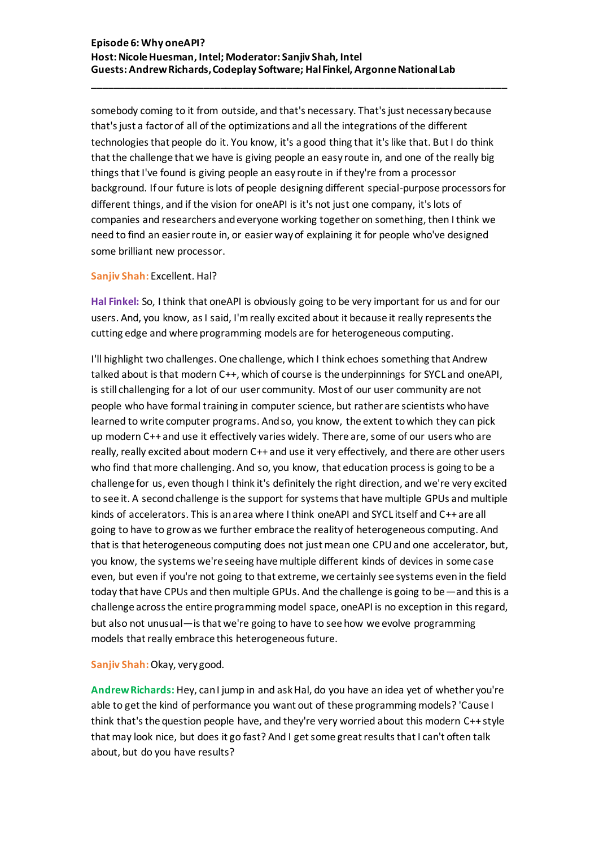somebody coming to it from outside, and that's necessary. That's just necessary because that's just a factor of all of the optimizations and all the integrations of the different technologies that people do it. You know, it's a good thing that it's like that. But I do think that the challenge that we have is giving people an easy route in, and one of the really big things that I've found is giving people an easy route in if they're from a processor background. If our future is lots of people designing different special-purpose processors for different things, and if the vision for oneAPI is it's not just one company, it's lots of companies and researchers and everyone working together on something, then I think we need to find an easier route in, or easier way of explaining it for people who've designed some brilliant new processor.

**\_\_\_\_\_\_\_\_\_\_\_\_\_\_\_\_\_\_\_\_\_\_\_\_\_\_\_\_\_\_\_\_\_\_\_\_\_\_\_\_\_\_\_\_\_\_\_\_\_\_\_\_\_\_\_\_\_\_\_\_\_\_\_\_\_\_\_\_\_\_\_\_\_\_\_**

#### **Sanjiv Shah:** Excellent. Hal?

**Hal Finkel:** So, I think that oneAPI is obviously going to be very important for us and for our users. And, you know, as I said, I'm really excited about it because it really represents the cutting edge and where programming models are for heterogeneous computing.

I'll highlight two challenges. One challenge, which I think echoes something that Andrew talked about is that modern C++, which of course is the underpinnings for SYCL and oneAPI, is still challenging for a lot of our user community. Most of our user community are not people who have formal training in computer science, but rather are scientists who have learned to write computer programs. And so, you know, the extent to which they can pick up modern C++ and use it effectively varies widely. There are, some of our users who are really, really excited about modern C++ and use it very effectively, and there are other users who find that more challenging. And so, you know, that education process is going to be a challenge for us, even though I think it's definitely the right direction, and we're very excited to see it. A second challenge is the support for systems that have multiple GPUs and multiple kinds of accelerators. This is an area where I think oneAPI and SYCL itself and C++ are all going to have to grow as we further embrace the reality of heterogeneous computing. And that is that heterogeneous computing does not just mean one CPU and one accelerator, but, you know, the systems we're seeing have multiple different kinds of devices in some case even, but even if you're not going to that extreme, we certainly see systems even in the field today that have CPUs and then multiple GPUs. And the challenge is going to be—and this is a challenge across the entire programming model space, oneAPI is no exception in this regard, but also not unusual—is that we're going to have to see how we evolve programming models that really embrace this heterogeneous future.

# **Sanjiv Shah:** Okay, very good.

**Andrew Richards:** Hey, can I jump in and ask Hal, do you have an idea yet of whether you're able to get the kind of performance you want out of these programming models? 'Cause I think that's the question people have, and they're very worried about this modern C++ style that may look nice, but does it go fast? And I get some great results that I can't often talk about, but do you have results?